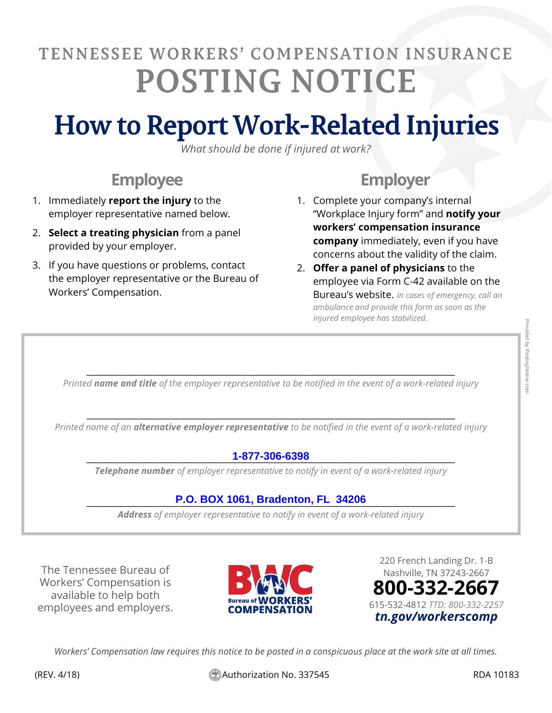# TENNESSEE WORKERS' COMPENSATION INSURANCE **POSTING NOTICE**

# **How to Report Work-Related Injuries**

*What should be done if injured at work?* 

## **Employee**

- 1. Immediately **report the injury** to the employer representative named below.
- 2. **Select a treating physician** from a panel provided by your employer.
- 3. If you have questions or problems, contact the employer representative or the Bureau of Workers' Compensation.

## **Employer**

- 1. Complete your company's internal "Workplace Injury form" and **notify your workers' compensation insurance company** immediately, even if you have concerns about the validity of the claim.
- 2. **Offer a panel of physicians** to the employee via Form C-42 available on the Bureau's website. *In cases of emergency, call an ambulance and provide this form as soon as the injured employee has stabilized.*

\_\_\_\_\_\_\_\_\_\_\_\_\_\_\_\_\_\_\_\_\_\_\_\_\_\_\_\_\_\_\_\_\_\_\_\_\_\_\_\_\_\_\_\_\_\_\_\_\_\_\_\_\_\_\_\_\_\_\_\_\_\_\_\_\_\_\_\_\_\_\_\_\_\_\_\_\_\_\_\_\_\_\_ *Printed name and title of the employer representative to be notified in the event of a work-related injury*

\_\_\_\_\_\_\_\_\_\_\_\_\_\_\_\_\_\_\_\_\_\_\_\_\_\_\_\_\_\_\_\_\_\_\_\_\_\_\_\_\_\_\_\_\_\_\_\_\_\_\_\_\_\_\_\_\_\_\_\_\_\_\_\_\_\_\_\_\_\_\_\_\_\_\_\_\_\_\_\_\_\_\_ *Printed name of an alternative employer representative to be notified in the event of a work-related injury*

### \_\_\_\_\_\_\_\_\_\_\_\_\_\_\_\_\_\_\_\_\_\_\_\_\_\_\_\_\_\_\_\_\_\_\_\_\_\_\_\_\_\_\_\_\_\_\_\_\_\_\_\_\_\_\_\_\_\_\_\_\_\_\_\_\_\_\_\_\_\_\_\_\_\_\_\_\_\_\_\_\_\_\_ **1-877-306-6398**

*Telephone number of employer representative to notify in event of a work-related injury*

### \_\_\_\_\_\_\_\_\_\_\_\_\_\_\_\_\_\_\_\_\_\_\_\_\_\_\_\_\_\_\_\_\_\_\_\_\_\_\_\_\_\_\_\_\_\_\_\_\_\_\_\_\_\_\_\_\_\_\_\_\_\_\_\_\_\_\_\_\_\_\_\_\_\_\_\_\_\_\_\_\_\_\_ **P.O. BOX 1061, Bradenton, FL 34206**

*Address of employer representative to notify in event of a work-related injury*

The Tennessee Bureau of Workers' Compensation is available to help both employees and employers.



220 French Landing Dr. 1-B Nashville, TN 37243-2667 **800-332-2667** 615-532-4812 *TTD: 800-332-2257 tn.gov/workerscomp*

*Workers' Compensation law requires this notice to be posted in a conspicuous place at the work site at all times.*